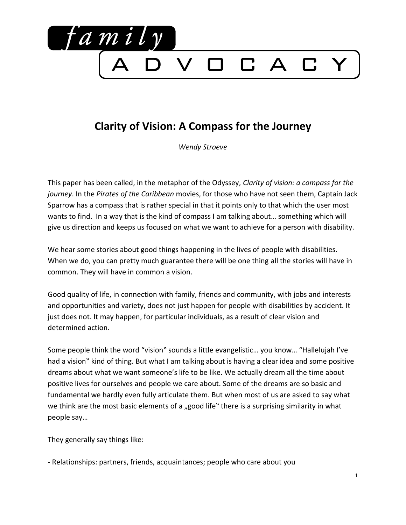

## **Clarity of Vision: A Compass for the Journey**

*Wendy Stroeve*

This paper has been called, in the metaphor of the Odyssey, *Clarity of vision: a compass for the journey*. In the *Pirates of the Caribbean* movies, for those who have not seen them, Captain Jack Sparrow has a compass that is rather special in that it points only to that which the user most wants to find. In a way that is the kind of compass I am talking about… something which will give us direction and keeps us focused on what we want to achieve for a person with disability.

We hear some stories about good things happening in the lives of people with disabilities. When we do, you can pretty much guarantee there will be one thing all the stories will have in common. They will have in common a vision.

Good quality of life, in connection with family, friends and community, with jobs and interests and opportunities and variety, does not just happen for people with disabilities by accident. It just does not. It may happen, for particular individuals, as a result of clear vision and determined action.

Some people think the word "vision" sounds a little evangelistic… you know… "Hallelujah I've had a vision" kind of thing. But what I am talking about is having a clear idea and some positive dreams about what we want someone's life to be like. We actually dream all the time about positive lives for ourselves and people we care about. Some of the dreams are so basic and fundamental we hardly even fully articulate them. But when most of us are asked to say what we think are the most basic elements of a "good life" there is a surprising similarity in what people say…

They generally say things like:

- Relationships: partners, friends, acquaintances; people who care about you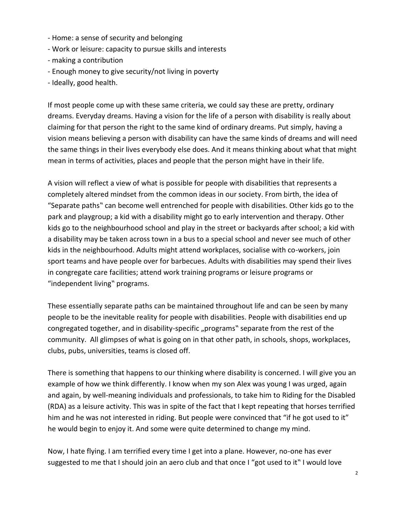- Home: a sense of security and belonging
- Work or leisure: capacity to pursue skills and interests
- making a contribution
- Enough money to give security/not living in poverty
- Ideally, good health.

If most people come up with these same criteria, we could say these are pretty, ordinary dreams. Everyday dreams. Having a vision for the life of a person with disability is really about claiming for that person the right to the same kind of ordinary dreams. Put simply, having a vision means believing a person with disability can have the same kinds of dreams and will need the same things in their lives everybody else does. And it means thinking about what that might mean in terms of activities, places and people that the person might have in their life.

A vision will reflect a view of what is possible for people with disabilities that represents a completely altered mindset from the common ideas in our society. From birth, the idea of "Separate paths" can become well entrenched for people with disabilities. Other kids go to the park and playgroup; a kid with a disability might go to early intervention and therapy. Other kids go to the neighbourhood school and play in the street or backyards after school; a kid with a disability may be taken across town in a bus to a special school and never see much of other kids in the neighbourhood. Adults might attend workplaces, socialise with co-workers, join sport teams and have people over for barbecues. Adults with disabilities may spend their lives in congregate care facilities; attend work training programs or leisure programs or "independent living" programs.

These essentially separate paths can be maintained throughout life and can be seen by many people to be the inevitable reality for people with disabilities. People with disabilities end up congregated together, and in disability-specific "programs" separate from the rest of the community. All glimpses of what is going on in that other path, in schools, shops, workplaces, clubs, pubs, universities, teams is closed off.

There is something that happens to our thinking where disability is concerned. I will give you an example of how we think differently. I know when my son Alex was young I was urged, again and again, by well-meaning individuals and professionals, to take him to Riding for the Disabled (RDA) as a leisure activity. This was in spite of the fact that I kept repeating that horses terrified him and he was not interested in riding. But people were convinced that "if he got used to it" he would begin to enjoy it. And some were quite determined to change my mind.

Now, I hate flying. I am terrified every time I get into a plane. However, no-one has ever suggested to me that I should join an aero club and that once I "got used to it" I would love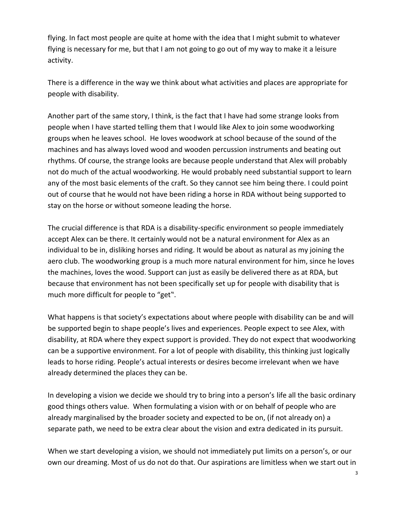flying. In fact most people are quite at home with the idea that I might submit to whatever flying is necessary for me, but that I am not going to go out of my way to make it a leisure activity.

There is a difference in the way we think about what activities and places are appropriate for people with disability.

Another part of the same story, I think, is the fact that I have had some strange looks from people when I have started telling them that I would like Alex to join some woodworking groups when he leaves school. He loves woodwork at school because of the sound of the machines and has always loved wood and wooden percussion instruments and beating out rhythms. Of course, the strange looks are because people understand that Alex will probably not do much of the actual woodworking. He would probably need substantial support to learn any of the most basic elements of the craft. So they cannot see him being there. I could point out of course that he would not have been riding a horse in RDA without being supported to stay on the horse or without someone leading the horse.

The crucial difference is that RDA is a disability-specific environment so people immediately accept Alex can be there. It certainly would not be a natural environment for Alex as an individual to be in, disliking horses and riding. It would be about as natural as my joining the aero club. The woodworking group is a much more natural environment for him, since he loves the machines, loves the wood. Support can just as easily be delivered there as at RDA, but because that environment has not been specifically set up for people with disability that is much more difficult for people to "get".

What happens is that society's expectations about where people with disability can be and will be supported begin to shape people's lives and experiences. People expect to see Alex, with disability, at RDA where they expect support is provided. They do not expect that woodworking can be a supportive environment. For a lot of people with disability, this thinking just logically leads to horse riding. People's actual interests or desires become irrelevant when we have already determined the places they can be.

In developing a vision we decide we should try to bring into a person's life all the basic ordinary good things others value. When formulating a vision with or on behalf of people who are already marginalised by the broader society and expected to be on, (if not already on) a separate path, we need to be extra clear about the vision and extra dedicated in its pursuit.

When we start developing a vision, we should not immediately put limits on a person's, or our own our dreaming. Most of us do not do that. Our aspirations are limitless when we start out in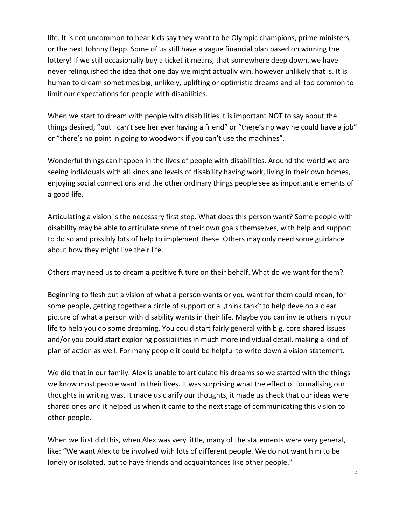life. It is not uncommon to hear kids say they want to be Olympic champions, prime ministers, or the next Johnny Depp. Some of us still have a vague financial plan based on winning the lottery! If we still occasionally buy a ticket it means, that somewhere deep down, we have never relinquished the idea that one day we might actually win, however unlikely that is. It is human to dream sometimes big, unlikely, uplifting or optimistic dreams and all too common to limit our expectations for people with disabilities.

When we start to dream with people with disabilities it is important NOT to say about the things desired, "but I can't see her ever having a friend" or "there's no way he could have a job" or "there's no point in going to woodwork if you can't use the machines".

Wonderful things can happen in the lives of people with disabilities. Around the world we are seeing individuals with all kinds and levels of disability having work, living in their own homes, enjoying social connections and the other ordinary things people see as important elements of a good life.

Articulating a vision is the necessary first step. What does this person want? Some people with disability may be able to articulate some of their own goals themselves, with help and support to do so and possibly lots of help to implement these. Others may only need some guidance about how they might live their life.

Others may need us to dream a positive future on their behalf. What do we want for them?

Beginning to flesh out a vision of what a person wants or you want for them could mean, for some people, getting together a circle of support or a "think tank" to help develop a clear picture of what a person with disability wants in their life. Maybe you can invite others in your life to help you do some dreaming. You could start fairly general with big, core shared issues and/or you could start exploring possibilities in much more individual detail, making a kind of plan of action as well. For many people it could be helpful to write down a vision statement.

We did that in our family. Alex is unable to articulate his dreams so we started with the things we know most people want in their lives. It was surprising what the effect of formalising our thoughts in writing was. It made us clarify our thoughts, it made us check that our ideas were shared ones and it helped us when it came to the next stage of communicating this vision to other people.

When we first did this, when Alex was very little, many of the statements were very general, like: "We want Alex to be involved with lots of different people. We do not want him to be lonely or isolated, but to have friends and acquaintances like other people."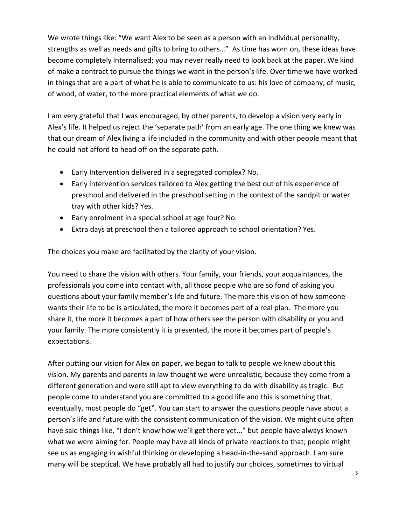We wrote things like: "We want Alex to be seen as a person with an individual personality, strengths as well as needs and gifts to bring to others…" As time has worn on, these ideas have become completely internalised; you may never really need to look back at the paper. We kind of make a contract to pursue the things we want in the person's life. Over time we have worked in things that are a part of what he is able to communicate to us: his love of company, of music, of wood, of water, to the more practical elements of what we do.

I am very grateful that I was encouraged, by other parents, to develop a vision very early in Alex's life. It helped us reject the 'separate path' from an early age. The one thing we knew was that our dream of Alex living a life included in the community and with other people meant that he could not afford to head off on the separate path.

- Early Intervention delivered in a segregated complex? No.
- Early intervention services tailored to Alex getting the best out of his experience of preschool and delivered in the preschool setting in the context of the sandpit or water tray with other kids? Yes.
- Early enrolment in a special school at age four? No.
- Extra days at preschool then a tailored approach to school orientation? Yes.

The choices you make are facilitated by the clarity of your vision.

You need to share the vision with others. Your family, your friends, your acquaintances, the professionals you come into contact with, all those people who are so fond of asking you questions about your family member's life and future. The more this vision of how someone wants their life to be is articulated, the more it becomes part of a real plan. The more you share it, the more it becomes a part of how others see the person with disability or you and your family. The more consistently it is presented, the more it becomes part of people's expectations.

After putting our vision for Alex on paper, we began to talk to people we knew about this vision. My parents and parents in law thought we were unrealistic, because they come from a different generation and were still apt to view everything to do with disability as tragic. But people come to understand you are committed to a good life and this is something that, eventually, most people do "get". You can start to answer the questions people have about a person's life and future with the consistent communication of the vision. We might quite often have said things like, "I don't know how we'll get there yet..." but people have always known what we were aiming for. People may have all kinds of private reactions to that; people might see us as engaging in wishful thinking or developing a head-in-the-sand approach. I am sure many will be sceptical. We have probably all had to justify our choices, sometimes to virtual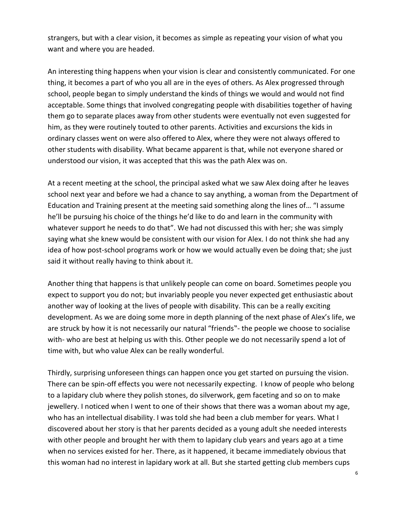strangers, but with a clear vision, it becomes as simple as repeating your vision of what you want and where you are headed.

An interesting thing happens when your vision is clear and consistently communicated. For one thing, it becomes a part of who you all are in the eyes of others. As Alex progressed through school, people began to simply understand the kinds of things we would and would not find acceptable. Some things that involved congregating people with disabilities together of having them go to separate places away from other students were eventually not even suggested for him, as they were routinely touted to other parents. Activities and excursions the kids in ordinary classes went on were also offered to Alex, where they were not always offered to other students with disability. What became apparent is that, while not everyone shared or understood our vision, it was accepted that this was the path Alex was on.

At a recent meeting at the school, the principal asked what we saw Alex doing after he leaves school next year and before we had a chance to say anything, a woman from the Department of Education and Training present at the meeting said something along the lines of… "I assume he'll be pursuing his choice of the things he'd like to do and learn in the community with whatever support he needs to do that". We had not discussed this with her; she was simply saying what she knew would be consistent with our vision for Alex. I do not think she had any idea of how post-school programs work or how we would actually even be doing that; she just said it without really having to think about it.

Another thing that happens is that unlikely people can come on board. Sometimes people you expect to support you do not; but invariably people you never expected get enthusiastic about another way of looking at the lives of people with disability. This can be a really exciting development. As we are doing some more in depth planning of the next phase of Alex's life, we are struck by how it is not necessarily our natural "friends"- the people we choose to socialise with- who are best at helping us with this. Other people we do not necessarily spend a lot of time with, but who value Alex can be really wonderful.

Thirdly, surprising unforeseen things can happen once you get started on pursuing the vision. There can be spin-off effects you were not necessarily expecting. I know of people who belong to a lapidary club where they polish stones, do silverwork, gem faceting and so on to make jewellery. I noticed when I went to one of their shows that there was a woman about my age, who has an intellectual disability. I was told she had been a club member for years. What I discovered about her story is that her parents decided as a young adult she needed interests with other people and brought her with them to lapidary club years and years ago at a time when no services existed for her. There, as it happened, it became immediately obvious that this woman had no interest in lapidary work at all. But she started getting club members cups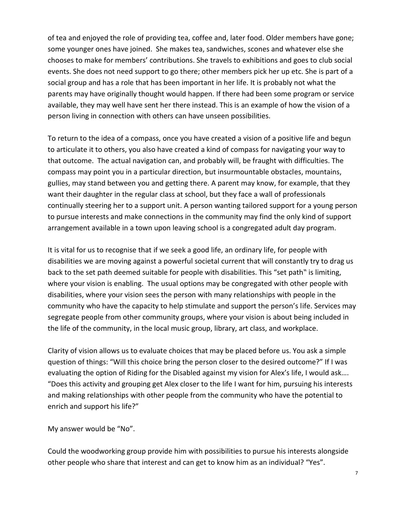of tea and enjoyed the role of providing tea, coffee and, later food. Older members have gone; some younger ones have joined. She makes tea, sandwiches, scones and whatever else she chooses to make for members' contributions. She travels to exhibitions and goes to club social events. She does not need support to go there; other members pick her up etc. She is part of a social group and has a role that has been important in her life. It is probably not what the parents may have originally thought would happen. If there had been some program or service available, they may well have sent her there instead. This is an example of how the vision of a person living in connection with others can have unseen possibilities.

To return to the idea of a compass, once you have created a vision of a positive life and begun to articulate it to others, you also have created a kind of compass for navigating your way to that outcome. The actual navigation can, and probably will, be fraught with difficulties. The compass may point you in a particular direction, but insurmountable obstacles, mountains, gullies, may stand between you and getting there. A parent may know, for example, that they want their daughter in the regular class at school, but they face a wall of professionals continually steering her to a support unit. A person wanting tailored support for a young person to pursue interests and make connections in the community may find the only kind of support arrangement available in a town upon leaving school is a congregated adult day program.

It is vital for us to recognise that if we seek a good life, an ordinary life, for people with disabilities we are moving against a powerful societal current that will constantly try to drag us back to the set path deemed suitable for people with disabilities. This "set path" is limiting, where your vision is enabling. The usual options may be congregated with other people with disabilities, where your vision sees the person with many relationships with people in the community who have the capacity to help stimulate and support the person's life. Services may segregate people from other community groups, where your vision is about being included in the life of the community, in the local music group, library, art class, and workplace.

Clarity of vision allows us to evaluate choices that may be placed before us. You ask a simple question of things: "Will this choice bring the person closer to the desired outcome?" If I was evaluating the option of Riding for the Disabled against my vision for Alex's life, I would ask…. "Does this activity and grouping get Alex closer to the life I want for him, pursuing his interests and making relationships with other people from the community who have the potential to enrich and support his life?"

My answer would be "No".

Could the woodworking group provide him with possibilities to pursue his interests alongside other people who share that interest and can get to know him as an individual? "Yes".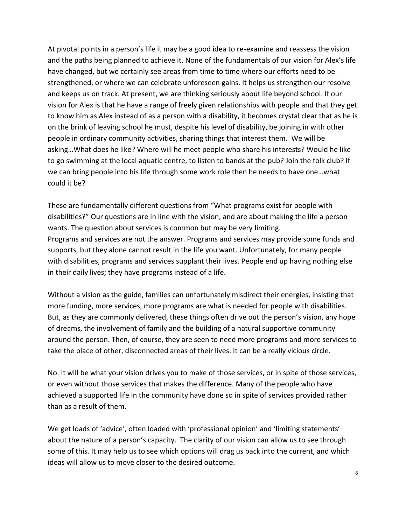At pivotal points in a person's life it may be a good idea to re-examine and reassess the vision and the paths being planned to achieve it. None of the fundamentals of our vision for Alex's life have changed, but we certainly see areas from time to time where our efforts need to be strengthened, or where we can celebrate unforeseen gains. It helps us strengthen our resolve and keeps us on track. At present, we are thinking seriously about life beyond school. If our vision for Alex is that he have a range of freely given relationships with people and that they get to know him as Alex instead of as a person with a disability, it becomes crystal clear that as he is on the brink of leaving school he must, despite his level of disability, be joining in with other people in ordinary community activities, sharing things that interest them. We will be asking…What does he like? Where will he meet people who share his interests? Would he like to go swimming at the local aquatic centre, to listen to bands at the pub? Join the folk club? If we can bring people into his life through some work role then he needs to have one…what could it be?

These are fundamentally different questions from "What programs exist for people with disabilities?" Our questions are in line with the vision, and are about making the life a person wants. The question about services is common but may be very limiting. Programs and services are not the answer. Programs and services may provide some funds and supports, but they alone cannot result in the life you want. Unfortunately, for many people with disabilities, programs and services supplant their lives. People end up having nothing else in their daily lives; they have programs instead of a life.

Without a vision as the guide, families can unfortunately misdirect their energies, insisting that more funding, more services, more programs are what is needed for people with disabilities. But, as they are commonly delivered, these things often drive out the person's vision, any hope of dreams, the involvement of family and the building of a natural supportive community around the person. Then, of course, they are seen to need more programs and more services to take the place of other, disconnected areas of their lives. It can be a really vicious circle.

No. It will be what your vision drives you to make of those services, or in spite of those services, or even without those services that makes the difference. Many of the people who have achieved a supported life in the community have done so in spite of services provided rather than as a result of them.

We get loads of 'advice', often loaded with 'professional opinion' and 'limiting statements' about the nature of a person's capacity. The clarity of our vision can allow us to see through some of this. It may help us to see which options will drag us back into the current, and which ideas will allow us to move closer to the desired outcome.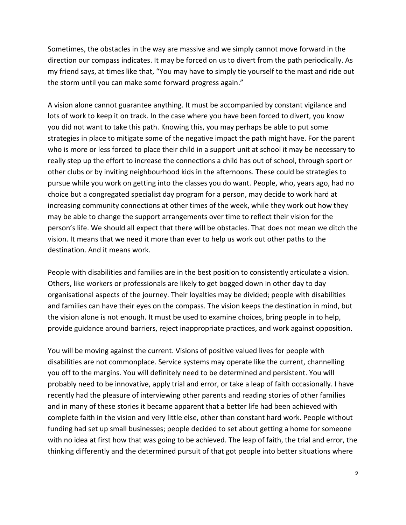Sometimes, the obstacles in the way are massive and we simply cannot move forward in the direction our compass indicates. It may be forced on us to divert from the path periodically. As my friend says, at times like that, "You may have to simply tie yourself to the mast and ride out the storm until you can make some forward progress again."

A vision alone cannot guarantee anything. It must be accompanied by constant vigilance and lots of work to keep it on track. In the case where you have been forced to divert, you know you did not want to take this path. Knowing this, you may perhaps be able to put some strategies in place to mitigate some of the negative impact the path might have. For the parent who is more or less forced to place their child in a support unit at school it may be necessary to really step up the effort to increase the connections a child has out of school, through sport or other clubs or by inviting neighbourhood kids in the afternoons. These could be strategies to pursue while you work on getting into the classes you do want. People, who, years ago, had no choice but a congregated specialist day program for a person, may decide to work hard at increasing community connections at other times of the week, while they work out how they may be able to change the support arrangements over time to reflect their vision for the person's life. We should all expect that there will be obstacles. That does not mean we ditch the vision. It means that we need it more than ever to help us work out other paths to the destination. And it means work.

People with disabilities and families are in the best position to consistently articulate a vision. Others, like workers or professionals are likely to get bogged down in other day to day organisational aspects of the journey. Their loyalties may be divided; people with disabilities and families can have their eyes on the compass. The vision keeps the destination in mind, but the vision alone is not enough. It must be used to examine choices, bring people in to help, provide guidance around barriers, reject inappropriate practices, and work against opposition.

You will be moving against the current. Visions of positive valued lives for people with disabilities are not commonplace. Service systems may operate like the current, channelling you off to the margins. You will definitely need to be determined and persistent. You will probably need to be innovative, apply trial and error, or take a leap of faith occasionally. I have recently had the pleasure of interviewing other parents and reading stories of other families and in many of these stories it became apparent that a better life had been achieved with complete faith in the vision and very little else, other than constant hard work. People without funding had set up small businesses; people decided to set about getting a home for someone with no idea at first how that was going to be achieved. The leap of faith, the trial and error, the thinking differently and the determined pursuit of that got people into better situations where